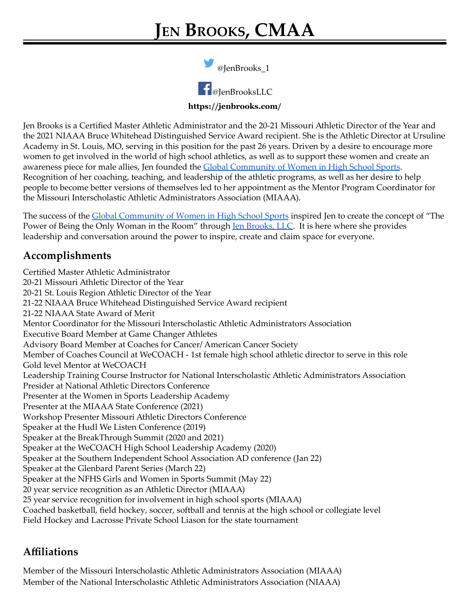@JenBrooks\_1



**https://jenbrooks.com/**

Jen Brooks is a Certified Master Athletic Administrator and the 20-21 Missouri Athletic Director of the Year and the 2021 NIAAA Bruce Whitehead Distinguished Service Award recipient. She is the Athletic Director at Ursuline Academy in St. Louis, MO, serving in this position for the past 26 years. Driven by a desire to encourage more women to get involved in the world of high school athletics, as well as to support these women and create an awareness piece for male allies, Jen founded the **Global [Community](https://globalcommunityofwomeninsports.com/) of Women in High School Sports**. Recognition of her coaching, teaching, and leadership of the athletic programs, as well as her desire to help people to become better versions of themselves led to her appointment as the Mentor Program Coordinator for the Missouri Interscholastic Athletic Administrators Association (MIAAA).

The success of the **Global [Community](https://globalcommunityofwomeninsports.com/) of Women in High School Sports** inspired Jen to create the concept of "The Power of Being the Only Woman in the Room" through Jen [Brooks,](https://jenbrooks.com/) LLC. It is here where she provides leadership and conversation around the power to inspire, create and claim space for everyone.

## **Accomplishments**

Certified Master Athletic Administrator 20-21 Missouri Athletic Director of the Year 20-21 St. Louis Region Athletic Director of the Year 21-22 NIAAA Bruce Whitehead Distinguished Service Award recipient 21-22 NIAAA State Award of Merit Mentor Coordinator for the Missouri Interscholastic Athletic Administrators Association Executive Board Member at Game Changer Athletes Advisory Board Member at Coaches for Cancer/ American Cancer Society Member of Coaches Council at WeCOACH - 1st female high school athletic director to serve in this role Gold level Mentor at WeCOACH Leadership Training Course Instructor for National Interscholastic Athletic Administrators Association Presider at National Athletic Directors Conference Presenter at the Women in Sports Leadership Academy Presenter at the MIAAA State Conference (2021) Workshop Presenter Missouri Athletic Directors Conference Speaker at the Hudl We Listen Conference (2019) Speaker at the BreakThrough Summit (2020 and 2021) Speaker at the WeCOACH High School Leadership Academy (2020) Speaker at the Southern Independent School Association AD conference (Jan 22) Speaker at the Glenbard Parent Series (March 22) Speaker at the NFHS Girls and Women in Sports Summit (May 22) 20 year service recognition as an Athletic Director (MIAAA) 25 year service recognition for involvement in high school sports (MIAAA) Coached basketball, field hockey, soccer, softball and tennis at the high school or collegiate level Field Hockey and Lacrosse Private School Liason for the state tournament

## **Affiliations**

Member of the Missouri Interscholastic Athletic Administrators Association (MIAAA) Member of the National Interscholastic Athletic Administrators Association (NIAAA)